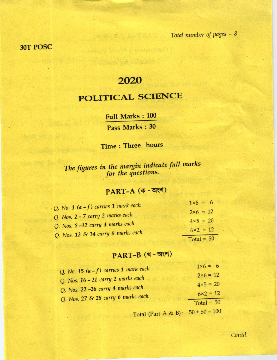#### 3OT POSC

### 2020

# POLITICAL SCIENCE

Full Marks : 100 Pass Marks : <sup>30</sup>

Time : Three hours

The figures in the margin indicate full marks for the questions.

## $PART-A$   $($ ক - অংশ)

| Q. No. 1 $(a - f)$ carries 1 mark each | $1 \times 6 = 6$  |
|----------------------------------------|-------------------|
| Q. Nos. 2 - 7 carry 2 marks each       | $2 \times 6 = 12$ |
| Q. Nos. 8-12 carry 4 marks each        | $4 \times 5 = 20$ |
| Q. Nos. 13 & 14 carry 6 marks each     | $6 \times 2 = 12$ |
|                                        | $Total = 50$      |

## $PART-B$  (थ - অংশ)

| Q. No. 15 $(a - f)$ carries 1 mark each                                 | $1 \times 6 = 6$  |
|-------------------------------------------------------------------------|-------------------|
| Q. Nos. 16 - 21 carry 2 marks each                                      | $2\times 6 = 12$  |
|                                                                         | $4 \times 5 = 20$ |
| Q. Nos. 22 -26 carry 4 marks each<br>Q. Nos. 27 & 28 carry 6 marks each | $6 \times 2 = 12$ |
|                                                                         | Total = $50$      |
|                                                                         |                   |

Total (Part A & B):  $50 + 50 = 100$ 

Contd.